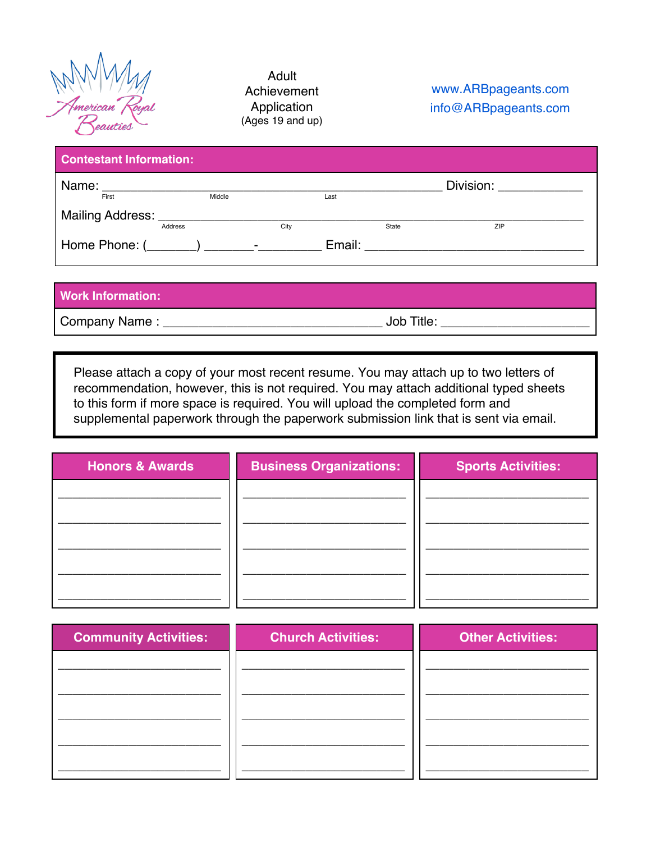

 Adult Achievement Application (Ages 19 and up)

## www.ARBpageants.com info@ARBpageants.com

| <b>Contestant Information:</b> |         |        |      |      |                                                                                                                                                                                                                                |                                |
|--------------------------------|---------|--------|------|------|--------------------------------------------------------------------------------------------------------------------------------------------------------------------------------------------------------------------------------|--------------------------------|
| Name: _______________________  |         |        |      |      |                                                                                                                                                                                                                                | Division: <u>_____________</u> |
| First                          |         | Middle |      | Last |                                                                                                                                                                                                                                |                                |
|                                |         |        |      |      |                                                                                                                                                                                                                                |                                |
|                                | Address |        | City |      | State                                                                                                                                                                                                                          | <b>ZIP</b>                     |
|                                |         |        |      |      | Email: Email: Email: Email: Email: Email: Email: Email: Email: Email: Email: Email: Email: Email: Email: Email: Email: Email: Email: Email: Email: Email: Email: Email: Email: Email: Email: Email: Email: Email: Email: Email |                                |

## **Work Information:**

Company Name : \_\_\_\_\_\_\_\_\_\_\_\_\_\_\_\_\_\_\_\_\_\_\_\_\_\_\_\_\_\_\_ Job Title: \_\_\_\_\_\_\_\_\_\_\_\_\_\_\_\_\_\_\_\_\_

Please attach a copy of your most recent resume. You may attach up to two letters of recommendation, however, this is not required. You may attach additional typed sheets to this form if more space is required. You will upload the completed form and supplemental paperwork through the paperwork submission link that is sent via email.

| <b>Honors &amp; Awards</b> | <b>Business Organizations:</b> | <b>Sports Activities:</b> |
|----------------------------|--------------------------------|---------------------------|
|                            |                                |                           |
|                            |                                |                           |
|                            |                                |                           |
|                            |                                |                           |
|                            |                                |                           |
| Community Activities       | Church Activities.             | <b>Other Activities:</b>  |

| <b>Community Activities:</b> | <b>Church Activities:</b> | <b>Other Activities:</b> |
|------------------------------|---------------------------|--------------------------|
|                              |                           |                          |
|                              |                           |                          |
|                              |                           |                          |
|                              |                           |                          |
|                              |                           |                          |